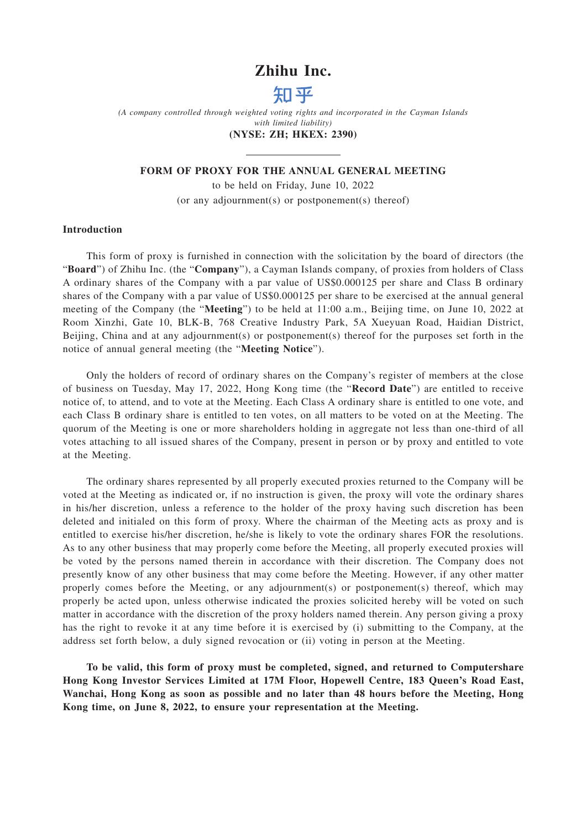## **Zhihu Inc.**



*(A company controlled through weighted voting rights and incorporated in the Cayman Islands with limited liability)*

## **(NYSE: ZH; HKEX: 2390)**

## **FORM OF PROXY FOR THE ANNUAL GENERAL MEETING**

to be held on Friday, June 10, 2022 (or any adjournment(s) or postponement(s) thereof)

## **Introduction**

This form of proxy is furnished in connection with the solicitation by the board of directors (the "**Board**") of Zhihu Inc. (the "**Company**"), a Cayman Islands company, of proxies from holders of Class A ordinary shares of the Company with a par value of US\$0.000125 per share and Class B ordinary shares of the Company with a par value of US\$0.000125 per share to be exercised at the annual general meeting of the Company (the "**Meeting**") to be held at 11:00 a.m., Beijing time, on June 10, 2022 at Room Xinzhi, Gate 10, BLK-B, 768 Creative Industry Park, 5A Xueyuan Road, Haidian District, Beijing, China and at any adjournment(s) or postponement(s) thereof for the purposes set forth in the notice of annual general meeting (the "**Meeting Notice**").

Only the holders of record of ordinary shares on the Company's register of members at the close of business on Tuesday, May 17, 2022, Hong Kong time (the "**Record Date**") are entitled to receive notice of, to attend, and to vote at the Meeting. Each Class A ordinary share is entitled to one vote, and each Class B ordinary share is entitled to ten votes, on all matters to be voted on at the Meeting. The quorum of the Meeting is one or more shareholders holding in aggregate not less than one-third of all votes attaching to all issued shares of the Company, present in person or by proxy and entitled to vote at the Meeting.

The ordinary shares represented by all properly executed proxies returned to the Company will be voted at the Meeting as indicated or, if no instruction is given, the proxy will vote the ordinary shares in his/her discretion, unless a reference to the holder of the proxy having such discretion has been deleted and initialed on this form of proxy. Where the chairman of the Meeting acts as proxy and is entitled to exercise his/her discretion, he/she is likely to vote the ordinary shares FOR the resolutions. As to any other business that may properly come before the Meeting, all properly executed proxies will be voted by the persons named therein in accordance with their discretion. The Company does not presently know of any other business that may come before the Meeting. However, if any other matter properly comes before the Meeting, or any adjournment(s) or postponement(s) thereof, which may properly be acted upon, unless otherwise indicated the proxies solicited hereby will be voted on such matter in accordance with the discretion of the proxy holders named therein. Any person giving a proxy has the right to revoke it at any time before it is exercised by (i) submitting to the Company, at the address set forth below, a duly signed revocation or (ii) voting in person at the Meeting.

**To be valid, this form of proxy must be completed, signed, and returned to Computershare Hong Kong Investor Services Limited at 17M Floor, Hopewell Centre, 183 Queen's Road East, Wanchai, Hong Kong as soon as possible and no later than 48 hours before the Meeting, Hong Kong time, on June 8, 2022, to ensure your representation at the Meeting.**